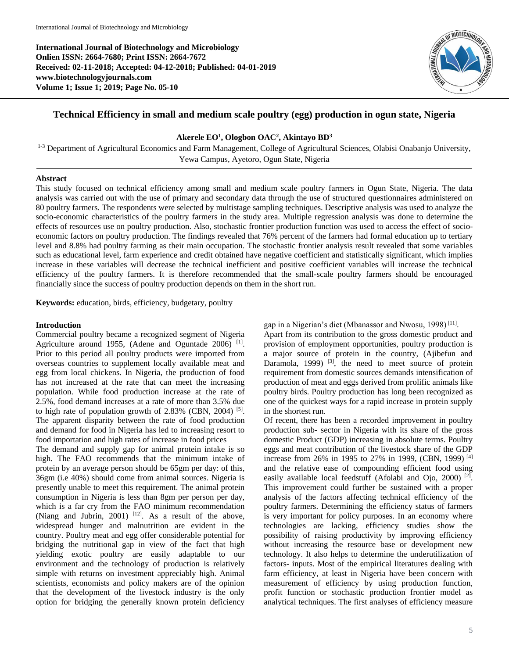**International Journal of Biotechnology and Microbiology Onlien ISSN: 2664-7680; Print ISSN: 2664-7672 Received: 02-11-2018; Accepted: 04-12-2018; Published: 04-01-2019 www.biotechnologyjournals.com Volume 1; Issue 1; 2019; Page No. 05-10**



# **Technical Efficiency in small and medium scale poultry (egg) production in ogun state, Nigeria**

# **Akerele EO<sup>1</sup> , Ologbon OAC<sup>2</sup> , Akintayo BD<sup>3</sup>**

<sup>1-3</sup> Department of Agricultural Economics and Farm Management, College of Agricultural Sciences, Olabisi Onabanjo University, Yewa Campus, Ayetoro, Ogun State, Nigeria

#### **Abstract**

This study focused on technical efficiency among small and medium scale poultry farmers in Ogun State, Nigeria. The data analysis was carried out with the use of primary and secondary data through the use of structured questionnaires administered on 80 poultry farmers. The respondents were selected by multistage sampling techniques. Descriptive analysis was used to analyze the socio-economic characteristics of the poultry farmers in the study area. Multiple regression analysis was done to determine the effects of resources use on poultry production. Also, stochastic frontier production function was used to access the effect of socioeconomic factors on poultry production. The findings revealed that 76% percent of the farmers had formal education up to tertiary level and 8.8% had poultry farming as their main occupation. The stochastic frontier analysis result revealed that some variables such as educational level, farm experience and credit obtained have negative coefficient and statistically significant, which implies increase in these variables will decrease the technical inefficient and positive coefficient variables will increase the technical efficiency of the poultry farmers. It is therefore recommended that the small-scale poultry farmers should be encouraged financially since the success of poultry production depends on them in the short run.

**Keywords:** education, birds, efficiency, budgetary, poultry

# **Introduction**

Commercial poultry became a recognized segment of Nigeria Agriculture around 1955, (Adene and Oguntade 2006)<sup>[1]</sup>. Prior to this period all poultry products were imported from overseas countries to supplement locally available meat and egg from local chickens. In Nigeria, the production of food has not increased at the rate that can meet the increasing population. While food production increase at the rate of 2.5%, food demand increases at a rate of more than 3.5% due to high rate of population growth of 2.83% (CBN, 2004)<sup>[5]</sup>. The apparent disparity between the rate of food production and demand for food in Nigeria has led to increasing resort to food importation and high rates of increase in food prices

The demand and supply gap for animal protein intake is so high. The FAO recommends that the minimum intake of protein by an average person should be 65gm per day: of this, 36gm (i.e 40%) should come from animal sources. Nigeria is presently unable to meet this requirement. The animal protein consumption in Nigeria is less than 8gm per person per day, which is a far cry from the FAO minimum recommendation (Niang and Jubrin, 2001)  $[12]$ . As a result of the above, widespread hunger and malnutrition are evident in the country. Poultry meat and egg offer considerable potential for bridging the nutritional gap in view of the fact that high yielding exotic poultry are easily adaptable to our environment and the technology of production is relatively simple with returns on investment appreciably high. Animal scientists, economists and policy makers are of the opinion that the development of the livestock industry is the only option for bridging the generally known protein deficiency

gap in a Nigerian's diet (Mbanassor and Nwosu, 1998)<sup>[11]</sup>.

Apart from its contribution to the gross domestic product and provision of employment opportunities, poultry production is a major source of protein in the country, (Ajibefun and Daramola, 1999)  $^{[3]}$ , the need to meet source of protein requirement from domestic sources demands intensification of production of meat and eggs derived from prolific animals like poultry birds. Poultry production has long been recognized as one of the quickest ways for a rapid increase in protein supply in the shortest run.

Of recent, there has been a recorded improvement in poultry production sub- sector in Nigeria with its share of the gross domestic Product (GDP) increasing in absolute terms. Poultry eggs and meat contribution of the livestock share of the GDP increase from 26% in 1995 to 27% in 1999, (CBN, 1999) [4] and the relative ease of compounding efficient food using easily available local feedstuff (Afolabi and Ojo, 2000)<sup>[2]</sup>. This improvement could further be sustained with a proper analysis of the factors affecting technical efficiency of the poultry farmers. Determining the efficiency status of farmers is very important for policy purposes. In an economy where technologies are lacking, efficiency studies show the possibility of raising productivity by improving efficiency without increasing the resource base or development new technology. It also helps to determine the underutilization of factors- inputs. Most of the empirical literatures dealing with farm efficiency, at least in Nigeria have been concern with measurement of efficiency by using production function, profit function or stochastic production frontier model as analytical techniques. The first analyses of efficiency measure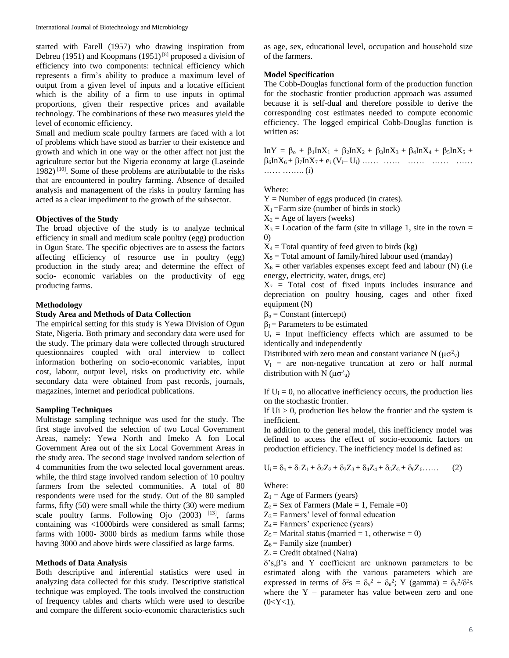started with Farell (1957) who drawing inspiration from Debreu (1951) and Koopmans (1951)<sup>[8]</sup> proposed a division of efficiency into two components: technical efficiency which represents a firm's ability to produce a maximum level of output from a given level of inputs and a locative efficient which is the ability of a firm to use inputs in optimal proportions, given their respective prices and available technology. The combinations of these two measures yield the level of economic efficiency.

Small and medium scale poultry farmers are faced with a lot of problems which have stood as barrier to their existence and growth and which in one way or the other affect not just the agriculture sector but the Nigeria economy at large (Laseinde 1982)  $[10]$ . Some of these problems are attributable to the risks that are encountered in poultry farming. Absence of detailed analysis and management of the risks in poultry farming has acted as a clear impediment to the growth of the subsector.

# **Objectives of the Study**

The broad objective of the study is to analyze technical efficiency in small and medium scale poultry (egg) production in Ogun State. The specific objectives are to assess the factors affecting efficiency of resource use in poultry (egg) production in the study area; and determine the effect of socio- economic variables on the productivity of egg producing farms.

# **Methodology**

# **Study Area and Methods of Data Collection**

The empirical setting for this study is Yewa Division of Ogun State, Nigeria. Both primary and secondary data were used for the study. The primary data were collected through structured questionnaires coupled with oral interview to collect information bothering on socio-economic variables, input cost, labour, output level, risks on productivity etc. while secondary data were obtained from past records, journals, magazines, internet and periodical publications.

#### **Sampling Techniques**

Multistage sampling technique was used for the study. The first stage involved the selection of two Local Government Areas, namely: Yewa North and Imeko A fon Local Government Area out of the six Local Government Areas in the study area. The second stage involved random selection of 4 communities from the two selected local government areas. while, the third stage involved random selection of 10 poultry farmers from the selected communities. A total of 80 respondents were used for the study. Out of the 80 sampled farms, fifty (50) were small while the thirty (30) were medium scale poultry farms. Following Ojo  $(2003)$  <sup>[13]</sup>, farms containing was <1000birds were considered as small farms; farms with 1000- 3000 birds as medium farms while those having 3000 and above birds were classified as large farms.

#### **Methods of Data Analysis**

Both descriptive and inferential statistics were used in analyzing data collected for this study. Descriptive statistical technique was employed. The tools involved the construction of frequency tables and charts which were used to describe and compare the different socio-economic characteristics such

as age, sex, educational level, occupation and household size of the farmers.

### **Model Specification**

The Cobb-Douglas functional form of the production function for the stochastic frontier production approach was assumed because it is self-dual and therefore possible to derive the corresponding cost estimates needed to compute economic efficiency. The logged empirical Cobb-Douglas function is written as:

 $InY = \beta_0 + \beta_1InX_1 + \beta_2InX_2 + \beta_3InX_3 + \beta_4InX_4 + \beta_5InX_5 +$  $\beta_6 \ln X_6 + \beta_7 \ln X_7 + e_i (V_i - U_i)$  …… …… …… …… …… …….. (i)

Where:

- $Y =$  Number of eggs produced (in crates).
- $X_1$ =Farm size (number of birds in stock)
- $X_2$  = Age of layers (weeks)

 $X_3$  = Location of the farm (site in village 1, site in the town = 0)

- $X_4$  = Total quantity of feed given to birds (kg)
- $X_5$  = Total amount of family/hired labour used (manday)

 $X_6$  = other variables expenses except feed and labour (N) (i.e. energy, electricity, water, drugs, etc)

 $X_7$  = Total cost of fixed inputs includes insurance and depreciation on poultry housing, cages and other fixed equipment (N)

 $\beta$ <sup>o</sup> = Constant (intercept)

 $\beta_I$  = Parameters to be estimated

 $U_i$  = Input inefficiency effects which are assumed to be identically and independently

Distributed with zero mean and constant variance N ( $\mu\sigma_v^2$ )

 $V_i$  = are non-negative truncation at zero or half normal distribution with N  $(\mu \sigma^2 u)$ 

If  $U_i = 0$ , no allocative inefficiency occurs, the production lies on the stochastic frontier.

If  $Ui > 0$ , production lies below the frontier and the system is inefficient.

In addition to the general model, this inefficiency model was defined to access the effect of socio-economic factors on production efficiency. The inefficiency model is defined as:

$$
U_i = \delta_0 + \delta_1 Z_1 + \delta_2 Z_2 + \delta_3 Z_3 + \delta_4 Z_4 + \delta_5 Z_5 + \delta_6 Z_6 \dots \tag{2}
$$

Where:

- $Z_1$  = Age of Farmers (years)
- $Z_2$  = Sex of Farmers (Male = 1, Female = 0)
- $Z_3$  = Farmers' level of formal education
- $Z_4$  = Farmers' experience (years)
- $Z_5$  = Marital status (married = 1, otherwise = 0)
- $Z_6$  = Family size (number)
- $Z_7$  = Credit obtained (Naira)

 $\delta$ 's, $\beta$ 's and Y coefficient are unknown parameters to be estimated along with the various parameters which are expressed in terms of  $\delta^2 s = \delta_v^2 + \delta_u^2$ ; Y (gamma) =  $\delta_u^2/\delta^2 s$ where the  $Y$  – parameter has value between zero and one  $(0 < Y < 1)$ .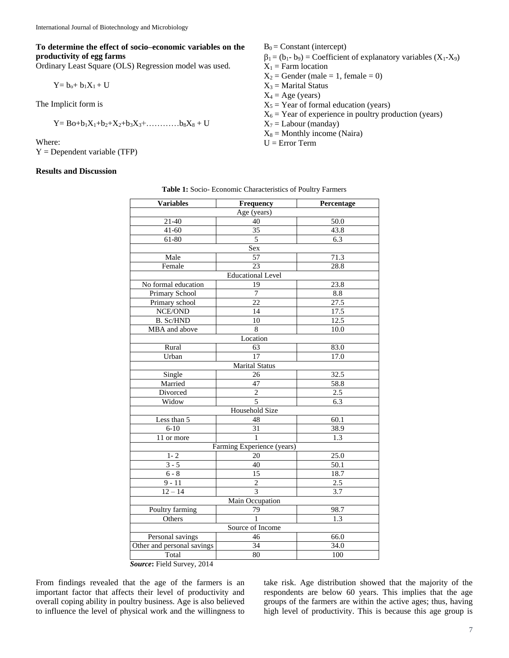**To determine the effect of socio–economic variables on the productivity of egg farms** 

Ordinary Least Square (OLS) Regression model was used.

$$
Y = b_o + b_1 X_1 + U
$$

The Implicit form is

$$
Y = Bo + b_1X_1 + b_2 + X_2 + b_3X_3 + \dots + b_8X_8 + U
$$

Where:

 $Y = Dependent variable (TFP)$ 

#### **Results and Discussion**

 $B_0 =$ Constant (intercept)  $\beta_1 = (b_1 - b_9)$  = Coefficient of explanatory variables  $(X_1 - X_9)$  $X_1$  = Farm location  $X_2$  = Gender (male = 1, female = 0)  $X_3$  = Marital Status  $X_4 = Age$  (years)  $X_5$  = Year of formal education (years)  $X_6$  = Year of experience in poultry production (years)  $X_7$  = Labour (manday)  $X_8$  = Monthly income (Naira)

 $U = Error Term$ 

| Table 1: Socio- Economic Characteristics of Poultry Farmers |  |
|-------------------------------------------------------------|--|
|-------------------------------------------------------------|--|

| <b>Variables</b>           | Frequency                  | Percentage        |  |  |
|----------------------------|----------------------------|-------------------|--|--|
|                            | Age (years)                |                   |  |  |
| $21 - 40$                  | 40                         | 50.0              |  |  |
| $41 - 60$                  | 35                         | 43.8              |  |  |
| 61-80                      | 5                          | 6.3               |  |  |
|                            | Sex                        |                   |  |  |
| Male                       | 57                         | 71.3              |  |  |
| Female                     | 23                         | 28.8              |  |  |
|                            | <b>Educational Level</b>   |                   |  |  |
| No formal education        | 19                         | 23.8              |  |  |
| Primary School             | $\overline{7}$             | 8.8               |  |  |
| Primary school             | $\overline{22}$            | $\overline{27.5}$ |  |  |
| NCE/OND                    | 14                         | 17.5              |  |  |
| <b>B.</b> Sc/HND           | 10                         | 12.5              |  |  |
| MBA and above              | 8                          | 10.0              |  |  |
|                            | Location                   |                   |  |  |
| Rural                      | 63                         | 83.0              |  |  |
| Urban                      | 17                         | 17.0              |  |  |
|                            | <b>Marital Status</b>      |                   |  |  |
| Single                     | 26                         | 32.5              |  |  |
| Married                    | 47                         | 58.8              |  |  |
| Divorced                   | $\overline{2}$             | 2.5               |  |  |
| Widow                      | 5                          | 6.3               |  |  |
|                            | <b>Household Size</b>      |                   |  |  |
| Less than 5                | 48                         | 60.1              |  |  |
| $6-10$                     | 31                         | 38.9              |  |  |
| 11 or more                 | 1                          | $\overline{1.3}$  |  |  |
|                            | Farming Experience (years) |                   |  |  |
| $1 - 2$                    | 20                         | 25.0              |  |  |
| $3 - 5$                    | 40                         | 50.1              |  |  |
| $6 - 8$                    | 15                         | 18.7              |  |  |
| $9 - 11$                   | $\overline{\mathbf{c}}$    | 2.5               |  |  |
| $12 - 14$                  | $\overline{3}$             | 3.7               |  |  |
| Main Occupation            |                            |                   |  |  |
| Poultry farming            | 79                         | 98.7              |  |  |
| <b>Others</b>              | $\mathbf{1}$               | 1.3               |  |  |
|                            | Source of Income           |                   |  |  |
| Personal savings           | 46                         | 66.0              |  |  |
| Other and personal savings | 34                         | 34.0              |  |  |
| Total                      | 80                         | 100               |  |  |

*Source***:** Field Survey, 2014

From findings revealed that the age of the farmers is an important factor that affects their level of productivity and overall coping ability in poultry business. Age is also believed to influence the level of physical work and the willingness to

take risk. Age distribution showed that the majority of the respondents are below 60 years. This implies that the age groups of the farmers are within the active ages; thus, having high level of productivity. This is because this age group is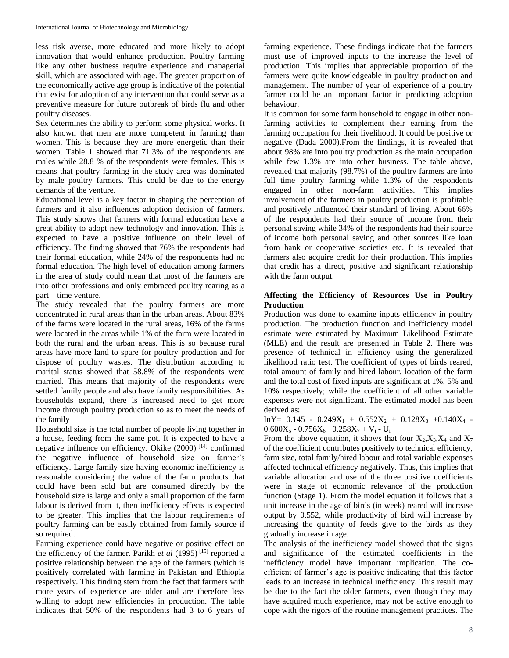less risk averse, more educated and more likely to adopt innovation that would enhance production. Poultry farming like any other business require experience and managerial skill, which are associated with age. The greater proportion of the economically active age group is indicative of the potential that exist for adoption of any intervention that could serve as a preventive measure for future outbreak of birds flu and other poultry diseases.

Sex determines the ability to perform some physical works. It also known that men are more competent in farming than women. This is because they are more energetic than their women. Table 1 showed that 71.3% of the respondents are males while 28.8 % of the respondents were females. This is means that poultry farming in the study area was dominated by male poultry farmers. This could be due to the energy demands of the venture.

Educational level is a key factor in shaping the perception of farmers and it also influences adoption decision of farmers. This study shows that farmers with formal education have a great ability to adopt new technology and innovation. This is expected to have a positive influence on their level of efficiency. The finding showed that 76% the respondents had their formal education, while 24% of the respondents had no formal education. The high level of education among farmers in the area of study could mean that most of the farmers are into other professions and only embraced poultry rearing as a part – time venture.

The study revealed that the poultry farmers are more concentrated in rural areas than in the urban areas. About 83% of the farms were located in the rural areas, 16% of the farms were located in the areas while 1% of the farm were located in both the rural and the urban areas. This is so because rural areas have more land to spare for poultry production and for dispose of poultry wastes. The distribution according to marital status showed that 58.8% of the respondents were married. This means that majority of the respondents were settled family people and also have family responsibilities. As households expand, there is increased need to get more income through poultry production so as to meet the needs of the family

Household size is the total number of people living together in a house, feeding from the same pot. It is expected to have a negative influence on efficiency. Okike (2000) [14] confirmed the negative influence of household size on farmer's efficiency. Large family size having economic inefficiency is reasonable considering the value of the farm products that could have been sold but are consumed directly by the household size is large and only a small proportion of the farm labour is derived from it, then inefficiency effects is expected to be greater. This implies that the labour requirements of poultry farming can be easily obtained from family source if so required.

Farming experience could have negative or positive effect on the efficiency of the farmer. Parikh *et al* (1995) [15] reported a positive relationship between the age of the farmers (which is positively correlated with farming in Pakistan and Ethiopia respectively. This finding stem from the fact that farmers with more years of experience are older and are therefore less willing to adopt new efficiencies in production. The table indicates that 50% of the respondents had 3 to 6 years of

farming experience. These findings indicate that the farmers must use of improved inputs to the increase the level of production. This implies that appreciable proportion of the farmers were quite knowledgeable in poultry production and management. The number of year of experience of a poultry farmer could be an important factor in predicting adoption behaviour.

It is common for some farm household to engage in other nonfarming activities to complement their earning from the farming occupation for their livelihood. It could be positive or negative (Dada 2000).From the findings, it is revealed that about 98% are into poultry production as the main occupation while few 1.3% are into other business. The table above, revealed that majority (98.7%) of the poultry farmers are into full time poultry farming while 1.3% of the respondents engaged in other non-farm activities. This implies involvement of the farmers in poultry production is profitable and positively influenced their standard of living. About 66% of the respondents had their source of income from their personal saving while 34% of the respondents had their source of income both personal saving and other sources like loan from bank or cooperative societies etc. It is revealed that farmers also acquire credit for their production. This implies that credit has a direct, positive and significant relationship with the farm output.

# **Affecting the Efficiency of Resources Use in Poultry Production**

Production was done to examine inputs efficiency in poultry production. The production function and inefficiency model estimate were estimated by Maximum Likelihood Estimate (MLE) and the result are presented in Table 2. There was presence of technical in efficiency using the generalized likelihood ratio test. The coefficient of types of birds reared, total amount of family and hired labour, location of the farm and the total cost of fixed inputs are significant at 1%, 5% and 10% respectively; while the coefficient of all other variable expenses were not significant. The estimated model has been derived as:

 $InY= 0.145 - 0.249X_1 + 0.552X_2 + 0.128X_3 + 0.140X_4 0.600X_5 - 0.756X_6 + 0.258X_7 + V_i - U_i$ 

From the above equation, it shows that four  $X_2, X_3, X_4$  and  $X_7$ of the coefficient contributes positively to technical efficiency, farm size, total family/hired labour and total variable expenses affected technical efficiency negatively. Thus, this implies that variable allocation and use of the three positive coefficients were in stage of economic relevance of the production function (Stage 1). From the model equation it follows that a unit increase in the age of birds (in week) reared will increase output by 0.552, while productivity of bird will increase by increasing the quantity of feeds give to the birds as they gradually increase in age.

The analysis of the inefficiency model showed that the signs and significance of the estimated coefficients in the inefficiency model have important implication. The coefficient of farmer's age is positive indicating that this factor leads to an increase in technical inefficiency. This result may be due to the fact the older farmers, even though they may have acquired much experience, may not be active enough to cope with the rigors of the routine management practices. The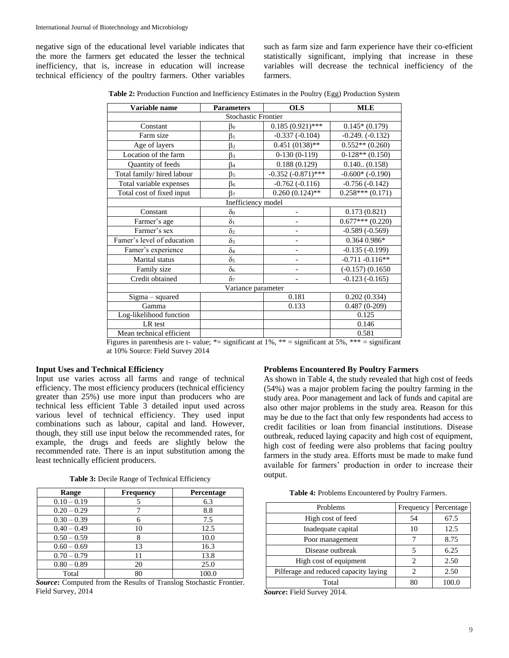negative sign of the educational level variable indicates that the more the farmers get educated the lesser the technical inefficiency, that is, increase in education will increase technical efficiency of the poultry farmers. Other variables

such as farm size and farm experience have their co-efficient statistically significant, implying that increase in these variables will decrease the technical inefficiency of the farmers.

**Table 2:** Production Function and Inefficiency Estimates in the Poultry (Egg) Production System

| Variable name              | <b>Parameters</b>          | <b>OLS</b>               | <b>MLE</b>           |
|----------------------------|----------------------------|--------------------------|----------------------|
|                            | <b>Stochastic Frontier</b> |                          |                      |
| Constant                   | $\beta_0$                  | $0.185(0.921)$ ***       | $0.145*(0.179)$      |
| Farm size                  | $\beta_1$                  | $-0.337(-0.104)$         | $-0.249.(-0.132)$    |
| Age of layers              | $\beta_2$                  | $0.451(0138)$ **         | $0.552**$ $(0.260)$  |
| Location of the farm       | $\beta_3$                  | $0-130(0-119)$           | $0-128**$ $(0.150)$  |
| Quantity of feeds          | $\beta_4$                  | 0.188(0.129)             | 0.140(0.158)         |
| Total family/ hired labour | $\beta_5$                  | $-0.352$ $(-0.871)$ ***  | $-0.600*$ $(-0.190)$ |
| Total variable expenses    | $\beta_6$                  | $-0.762(-0.116)$         | $-0.756(-0.142)$     |
| Total cost of fixed input  | B <sub>7</sub>             | $0.260(0.124)$ **        | $0.258***(0.171)$    |
|                            | Inefficiency model         |                          |                      |
| Constant                   | $\delta_0$                 | -                        | 0.173(0.821)         |
| Farmer's age               | $\delta_1$                 |                          | $0.677***(0.220)$    |
| Farmer's sex               | $\delta_2$                 | $\overline{\phantom{0}}$ | $-0.589(-0.569)$     |
| Famer's level of education | $\delta_3$                 |                          | $0.3640.986*$        |
| Famer's experience         | $\delta_4$                 |                          | $-0.135(-0.199)$     |
| Marital status             | $\delta_5$                 |                          | $-0.711 - 0.116**$   |
| Family size                | $\delta$ <sub>6</sub>      |                          | $(-0.157)(0.1650)$   |
| Credit obtained            | $\delta$ 7                 |                          | $-0.123(-0.165)$     |
| Variance parameter         |                            |                          |                      |
| Sigma - squared            |                            | 0.181                    | 0.202(0.334)         |
| Gamma                      |                            | 0.133                    | $0.487(0-209)$       |
| Log-likelihood function    |                            |                          | 0.125                |
| LR test                    |                            |                          | 0.146                |
| Mean technical efficient   |                            |                          | 0.581                |

Figures in parenthesis are t- value;  $*$  = significant at 1%,  $**$  = significant at 5%,  $***$  = significant at 10% Source: Field Survey 2014

# **Input Uses and Technical Efficiency**

Input use varies across all farms and range of technical efficiency. The most efficiency producers (technical efficiency greater than 25%) use more input than producers who are technical less efficient Table 3 detailed input used across various level of technical efficiency. They used input combinations such as labour, capital and land. However, though, they still use input below the recommended rates, for example, the drugs and feeds are slightly below the recommended rate. There is an input substitution among the least technically efficient producers.

|  |  |  |  | Table 3: Decile Range of Technical Efficiency |
|--|--|--|--|-----------------------------------------------|
|--|--|--|--|-----------------------------------------------|

| Range         | <b>Frequency</b> | Percentage |
|---------------|------------------|------------|
| $0.10 - 0.19$ |                  | 6.3        |
| $0.20 - 0.29$ |                  | 8.8        |
| $0.30 - 0.39$ |                  | 7.5        |
| $0.40 - 0.49$ | 10               | 12.5       |
| $0.50 - 0.59$ |                  | 10.0       |
| $0.60 - 0.69$ | 13               | 16.3       |
| $0.70 - 0.79$ |                  | 13.8       |
| $0.80 - 0.89$ | 20               | 25.0       |
| Total         | 80               | 100.0      |

*Source***:** Computed from the Results of Translog Stochastic Frontier. Field Survey, 2014

# **Problems Encountered By Poultry Farmers**

As shown in Table 4, the study revealed that high cost of feeds (54%) was a major problem facing the poultry farming in the study area. Poor management and lack of funds and capital are also other major problems in the study area. Reason for this may be due to the fact that only few respondents had access to credit facilities or loan from financial institutions. Disease outbreak, reduced laying capacity and high cost of equipment, high cost of feeding were also problems that facing poultry farmers in the study area. Efforts must be made to make fund available for farmers' production in order to increase their output.

**Table 4:** Problems Encountered by Poultry Farmers.

| Problems                              | Frequency | Percentage |
|---------------------------------------|-----------|------------|
| High cost of feed                     | 54        | 67.5       |
| Inadequate capital                    | 10        | 12.5       |
| Poor management                       |           | 8.75       |
| Disease outbreak                      |           | 6.25       |
| High cost of equipment                | 2         | 2.50       |
| Pilferage and reduced capacity laying | 2         | 2.50       |
| Total                                 | 81        |            |

*Source***:** Field Survey 2014.